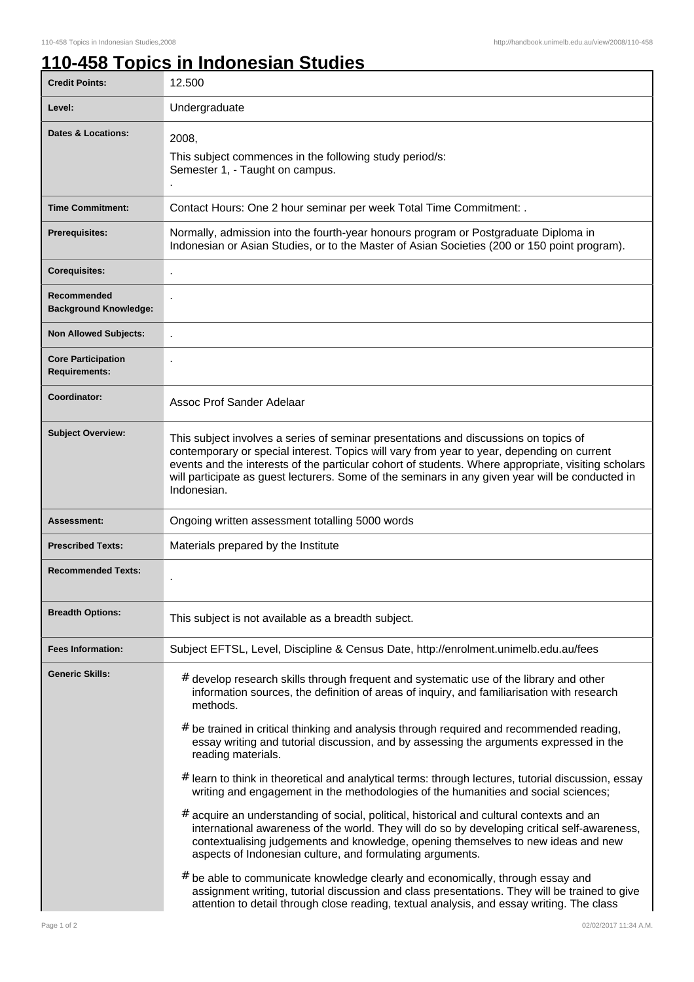## **110-458 Topics in Indonesian Studies**

| <b>Credit Points:</b>                             | 12.500                                                                                                                                                                                                                                                                                                                                                                                                                                                                                                                                                                                                                                                                                                                                                                                                                                                                                                                                                       |
|---------------------------------------------------|--------------------------------------------------------------------------------------------------------------------------------------------------------------------------------------------------------------------------------------------------------------------------------------------------------------------------------------------------------------------------------------------------------------------------------------------------------------------------------------------------------------------------------------------------------------------------------------------------------------------------------------------------------------------------------------------------------------------------------------------------------------------------------------------------------------------------------------------------------------------------------------------------------------------------------------------------------------|
| Level:                                            | Undergraduate                                                                                                                                                                                                                                                                                                                                                                                                                                                                                                                                                                                                                                                                                                                                                                                                                                                                                                                                                |
| Dates & Locations:                                | 2008,<br>This subject commences in the following study period/s:<br>Semester 1, - Taught on campus.                                                                                                                                                                                                                                                                                                                                                                                                                                                                                                                                                                                                                                                                                                                                                                                                                                                          |
| <b>Time Commitment:</b>                           | Contact Hours: One 2 hour seminar per week Total Time Commitment: .                                                                                                                                                                                                                                                                                                                                                                                                                                                                                                                                                                                                                                                                                                                                                                                                                                                                                          |
| <b>Prerequisites:</b>                             | Normally, admission into the fourth-year honours program or Postgraduate Diploma in<br>Indonesian or Asian Studies, or to the Master of Asian Societies (200 or 150 point program).                                                                                                                                                                                                                                                                                                                                                                                                                                                                                                                                                                                                                                                                                                                                                                          |
| <b>Corequisites:</b>                              |                                                                                                                                                                                                                                                                                                                                                                                                                                                                                                                                                                                                                                                                                                                                                                                                                                                                                                                                                              |
| Recommended<br><b>Background Knowledge:</b>       |                                                                                                                                                                                                                                                                                                                                                                                                                                                                                                                                                                                                                                                                                                                                                                                                                                                                                                                                                              |
| <b>Non Allowed Subjects:</b>                      |                                                                                                                                                                                                                                                                                                                                                                                                                                                                                                                                                                                                                                                                                                                                                                                                                                                                                                                                                              |
| <b>Core Participation</b><br><b>Requirements:</b> |                                                                                                                                                                                                                                                                                                                                                                                                                                                                                                                                                                                                                                                                                                                                                                                                                                                                                                                                                              |
| Coordinator:                                      | Assoc Prof Sander Adelaar                                                                                                                                                                                                                                                                                                                                                                                                                                                                                                                                                                                                                                                                                                                                                                                                                                                                                                                                    |
| <b>Subject Overview:</b>                          | This subject involves a series of seminar presentations and discussions on topics of<br>contemporary or special interest. Topics will vary from year to year, depending on current<br>events and the interests of the particular cohort of students. Where appropriate, visiting scholars<br>will participate as guest lecturers. Some of the seminars in any given year will be conducted in<br>Indonesian.                                                                                                                                                                                                                                                                                                                                                                                                                                                                                                                                                 |
| Assessment:                                       | Ongoing written assessment totalling 5000 words                                                                                                                                                                                                                                                                                                                                                                                                                                                                                                                                                                                                                                                                                                                                                                                                                                                                                                              |
| <b>Prescribed Texts:</b>                          | Materials prepared by the Institute                                                                                                                                                                                                                                                                                                                                                                                                                                                                                                                                                                                                                                                                                                                                                                                                                                                                                                                          |
| <b>Recommended Texts:</b>                         |                                                                                                                                                                                                                                                                                                                                                                                                                                                                                                                                                                                                                                                                                                                                                                                                                                                                                                                                                              |
| <b>Breadth Options:</b>                           | This subject is not available as a breadth subject.                                                                                                                                                                                                                                                                                                                                                                                                                                                                                                                                                                                                                                                                                                                                                                                                                                                                                                          |
| <b>Fees Information:</b>                          | Subject EFTSL, Level, Discipline & Census Date, http://enrolment.unimelb.edu.au/fees                                                                                                                                                                                                                                                                                                                                                                                                                                                                                                                                                                                                                                                                                                                                                                                                                                                                         |
| <b>Generic Skills:</b>                            | # develop research skills through frequent and systematic use of the library and other<br>information sources, the definition of areas of inquiry, and familiarisation with research<br>methods.<br>$#$ be trained in critical thinking and analysis through required and recommended reading,<br>essay writing and tutorial discussion, and by assessing the arguments expressed in the<br>reading materials.<br>$#$ learn to think in theoretical and analytical terms: through lectures, tutorial discussion, essay<br>writing and engagement in the methodologies of the humanities and social sciences;<br>$#$ acquire an understanding of social, political, historical and cultural contexts and an<br>international awareness of the world. They will do so by developing critical self-awareness,<br>contextualising judgements and knowledge, opening themselves to new ideas and new<br>aspects of Indonesian culture, and formulating arguments. |
|                                                   | $#$ be able to communicate knowledge clearly and economically, through essay and<br>assignment writing, tutorial discussion and class presentations. They will be trained to give<br>attention to detail through close reading, textual analysis, and essay writing. The class                                                                                                                                                                                                                                                                                                                                                                                                                                                                                                                                                                                                                                                                               |